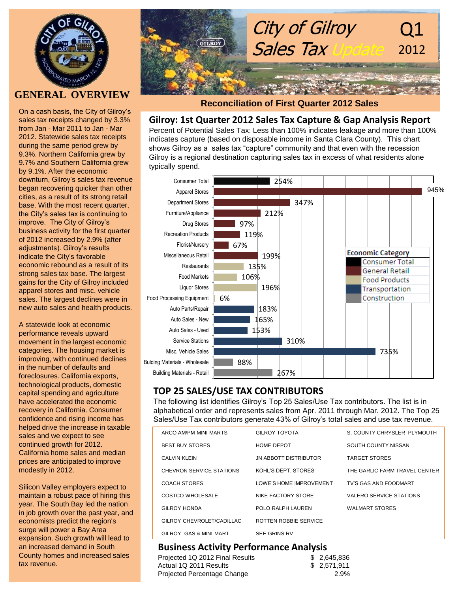

# **GENERAL OVERVIEW**

On a cash basis, the City of Gilroy's sales tax receipts changed by 3.3% from Jan - Mar 2011 to Jan - Mar 2012. Statewide sales tax receipts during the same period grew by 9.3%. Northern California grew by 9.7% and Southern California grew by 9.1%. After the economic downturn, Gilroy's sales tax revenue began recovering quicker than other cities, as a result of its strong retail base. With the most recent quarter, the City's sales tax is continuing to improve. The City of Gilroy's business activity for the first quarter of 2012 increased by 2.9% (after adjustments). Gilroy's results indicate the City's favorable economic rebound as a result of its strong sales tax base. The largest gains for the City of Gilroy included apparel stores and misc. vehicle sales. The largest declines were in new auto sales and health products.

A statewide look at economic performance reveals upward movement in the largest economic categories. The housing market is improving, with continued declines in the number of defaults and foreclosures. California exports, technological products, domestic capital spending and agriculture have accelerated the economic recovery in California. Consumer confidence and rising income has helped drive the increase in taxable sales and we expect to see continued growth for 2012. California home sales and median prices are anticipated to improve modestly in 2012.

Silicon Valley employers expect to maintain a robust pace of hiring this year. The South Bay led the nation in job growth over the past year, and economists predict the region's surge will power a Bay Area expansion. Such growth will lead to an increased demand in South County homes and increased sales tax revenue.



### **Reconciliation of First Quarter 2012 Sales**

#### **Gilroy: 1st Quarter 2012 Sales Tax Capture & Gap Analysis Report**

Percent of Potential Sales Tax: Less than 100% indicates leakage and more than 100% indicates capture (based on disposable income in Santa Clara County). This chart shows Gilroy as a sales tax "capture" community and that even with the recession Gilroy is a regional destination capturing sales tax in excess of what residents alone typically spend.



## **TOP 25 SALES/USE TAX CONTRIBUTORS**

The following list identifies Gilroy's Top 25 Sales/Use Tax contributors. The list is in alphabetical order and represents sales from Apr. 2011 through Mar. 2012. The Top 25 Sales/Use Tax contributors generate 43% of Gilroy's total sales and use tax revenue.

| ARCO AM/PM MINI MARTS     | GIL ROY TOYOTA                 | S. COUNTY CHRYSLER PLYMOUTH    |
|---------------------------|--------------------------------|--------------------------------|
| <b>BEST BUY STORES</b>    | <b>HOME DEPOT</b>              | SOUTH COUNTY NISSAN            |
| <b>CALVIN KLEIN</b>       | <b>JN ABBOTT DISTRIBUTOR</b>   | <b>TARGET STORES</b>           |
| CHEVRON SERVICE STATIONS  | KOHL'S DEPT. STORES            | THE GARLIC FARM TRAVEL CENTER  |
| COACH STORES              | <b>LOWE'S HOME IMPROVEMENT</b> | TV'S GAS AND FOODMART          |
| COSTCO WHOLESALE          | NIKE FACTORY STORE             | <b>VALERO SERVICE STATIONS</b> |
| <b>GILROY HONDA</b>       | POLO RALPH LAUREN              | <b>WALMART STORES</b>          |
| GILROY CHEVROLET/CADILLAC | ROTTEN ROBBIE SERVICE          |                                |
| GILROY GAS & MINI-MART    | SEE-GRINS RV                   |                                |

### **Business Activity Performance Analysis**

| Projected 1Q 2012 Final Results | \$2,645,836  |
|---------------------------------|--------------|
| Actual 1Q 2011 Results          | \$ 2,571,911 |
| Projected Percentage Change     | 2.9%         |